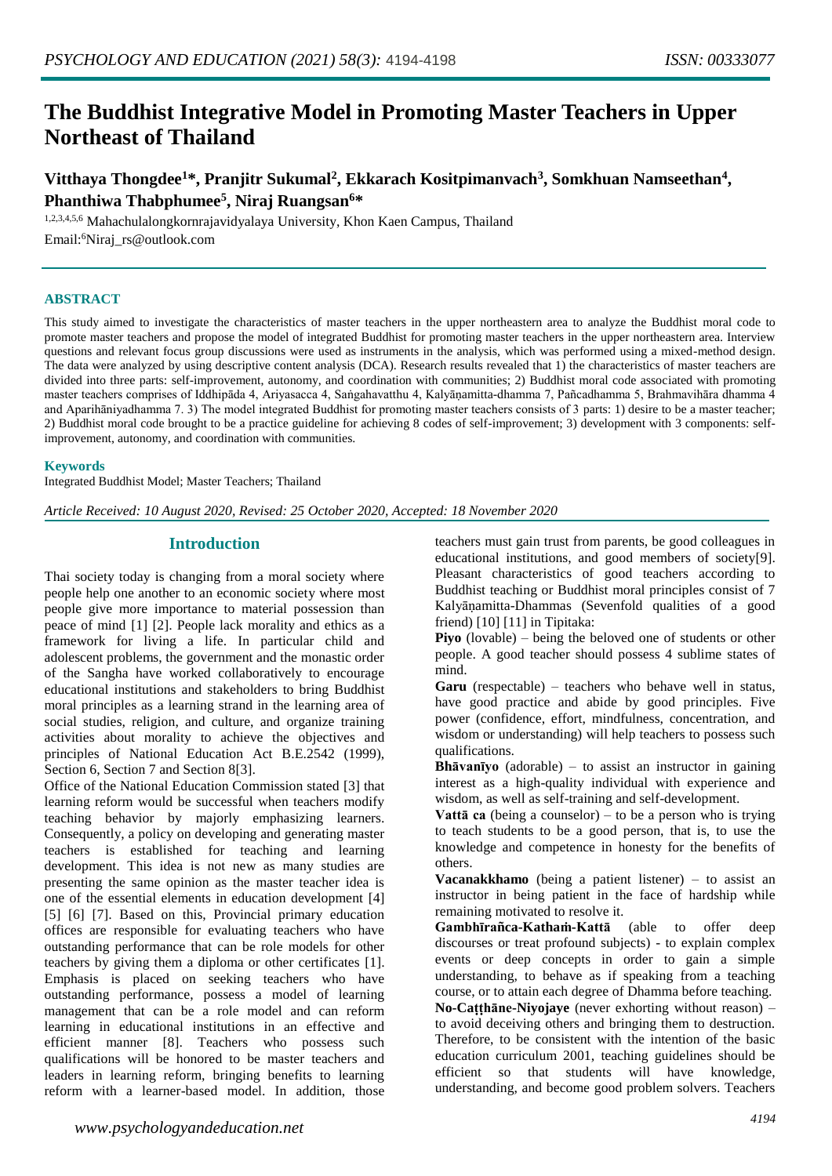# **The Buddhist Integrative Model in Promoting Master Teachers in Upper Northeast of Thailand**

# **Vitthaya Thongdee<sup>1</sup>\*, Pranjitr Sukumal<sup>2</sup> , Ekkarach Kositpimanvach<sup>3</sup> , Somkhuan Namseethan<sup>4</sup> , Phanthiwa Thabphumee<sup>5</sup> , Niraj Ruangsan<sup>6</sup>\***

1,2,3,4,5,6 Mahachulalongkornrajavidyalaya University, Khon Kaen Campus, Thailand Email:<sup>6</sup>Niraj\_rs@outlook.com

#### **ABSTRACT**

This study aimed to investigate the characteristics of master teachers in the upper northeastern area to analyze the Buddhist moral code to promote master teachers and propose the model of integrated Buddhist for promoting master teachers in the upper northeastern area. Interview questions and relevant focus group discussions were used as instruments in the analysis, which was performed using a mixed-method design. The data were analyzed by using descriptive content analysis (DCA). Research results revealed that 1) the characteristics of master teachers are divided into three parts: self-improvement, autonomy, and coordination with communities; 2) Buddhist moral code associated with promoting master teachers comprises of Iddhipāda 4, Ariyasacca 4, Saṅgahavatthu 4, Kalyāṇamitta-dhamma 7, Pañcadhamma 5, Brahmavihāra dhamma 4 and Aparihāniyadhamma 7. 3) The model integrated Buddhist for promoting master teachers consists of 3 parts: 1) desire to be a master teacher; 2) Buddhist moral code brought to be a practice guideline for achieving 8 codes of self-improvement; 3) development with 3 components: selfimprovement, autonomy, and coordination with communities.

#### **Keywords**

Integrated Buddhist Model; Master Teachers; Thailand

*Article Received: 10 August 2020, Revised: 25 October 2020, Accepted: 18 November 2020*

# **Introduction**

Thai society today is changing from a moral society where people help one another to an economic society where most people give more importance to material possession than peace of mind [1] [2]. People lack morality and ethics as a framework for living a life. In particular child and adolescent problems, the government and the monastic order of the Sangha have worked collaboratively to encourage educational institutions and stakeholders to bring Buddhist moral principles as a learning strand in the learning area of social studies, religion, and culture, and organize training activities about morality to achieve the objectives and principles of National Education Act B.E.2542 (1999), Section 6, Section 7 and Section 8[3].

Office of the National Education Commission stated [3] that learning reform would be successful when teachers modify teaching behavior by majorly emphasizing learners. Consequently, a policy on developing and generating master teachers is established for teaching and learning development. This idea is not new as many studies are presenting the same opinion as the master teacher idea is one of the essential elements in education development [4] [5] [6] [7]. Based on this, Provincial primary education offices are responsible for evaluating teachers who have outstanding performance that can be role models for other teachers by giving them a diploma or other certificates [1]. Emphasis is placed on seeking teachers who have outstanding performance, possess a model of learning management that can be a role model and can reform learning in educational institutions in an effective and efficient manner [8]. Teachers who possess such qualifications will be honored to be master teachers and leaders in learning reform, bringing benefits to learning reform with a learner-based model. In addition, those

teachers must gain trust from parents, be good colleagues in educational institutions, and good members of society[9]. Pleasant characteristics of good teachers according to Buddhist teaching or Buddhist moral principles consist of 7 Kalyāṇamitta-Dhammas (Sevenfold qualities of a good friend) [10] [11] in Tipitaka:

**Piyo** (lovable) – being the beloved one of students or other people. A good teacher should possess 4 sublime states of mind.

**Garu** (respectable) – teachers who behave well in status, have good practice and abide by good principles. Five power (confidence, effort, mindfulness, concentration, and wisdom or understanding) will help teachers to possess such qualifications.

**Bhāvanīyo** (adorable) – to assist an instructor in gaining interest as a high-quality individual with experience and wisdom, as well as self-training and self-development.

**Vattā ca** (being a counselor) – to be a person who is trying to teach students to be a good person, that is, to use the knowledge and competence in honesty for the benefits of others.

**Vacanakkhamo** (being a patient listener) – to assist an instructor in being patient in the face of hardship while remaining motivated to resolve it.

**Gambhīrañca-Kathaṁ-Kattā** (able to offer deep discourses or treat profound subjects) - to explain complex events or deep concepts in order to gain a simple understanding, to behave as if speaking from a teaching course, or to attain each degree of Dhamma before teaching. **No-Caṭṭhāne-Niyojaye** (never exhorting without reason) – to avoid deceiving others and bringing them to destruction. Therefore, to be consistent with the intention of the basic education curriculum 2001, teaching guidelines should be efficient so that students will have knowledge, understanding, and become good problem solvers. Teachers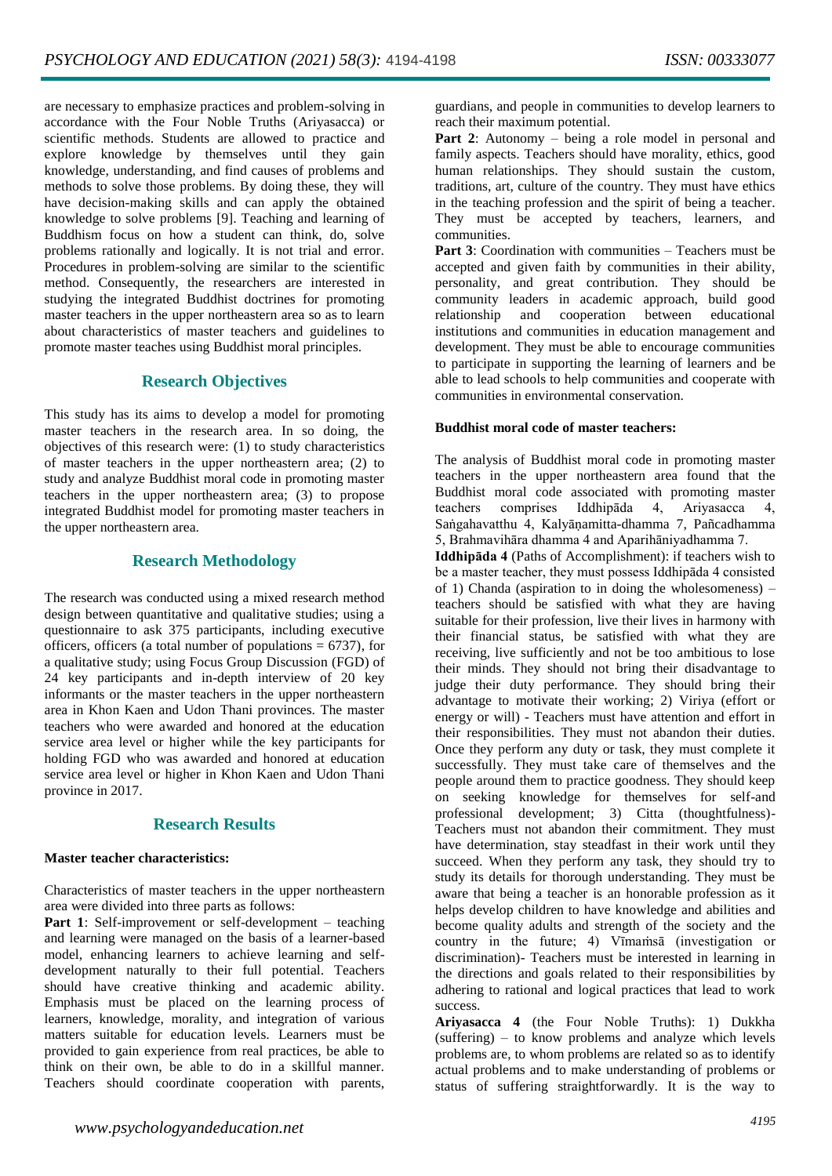are necessary to emphasize practices and problem-solving in accordance with the Four Noble Truths (Ariyasacca) or scientific methods. Students are allowed to practice and explore knowledge by themselves until they gain knowledge, understanding, and find causes of problems and methods to solve those problems. By doing these, they will have decision-making skills and can apply the obtained knowledge to solve problems [9]. Teaching and learning of Buddhism focus on how a student can think, do, solve problems rationally and logically. It is not trial and error. Procedures in problem-solving are similar to the scientific method. Consequently, the researchers are interested in studying the integrated Buddhist doctrines for promoting master teachers in the upper northeastern area so as to learn about characteristics of master teachers and guidelines to promote master teaches using Buddhist moral principles.

# **Research Objectives**

This study has its aims to develop a model for promoting master teachers in the research area. In so doing, the objectives of this research were: (1) to study characteristics of master teachers in the upper northeastern area; (2) to study and analyze Buddhist moral code in promoting master teachers in the upper northeastern area; (3) to propose integrated Buddhist model for promoting master teachers in the upper northeastern area.

# **Research Methodology**

The research was conducted using a mixed research method design between quantitative and qualitative studies; using a questionnaire to ask 375 participants, including executive officers, officers (a total number of populations  $= 6737$ ), for a qualitative study; using Focus Group Discussion (FGD) of 24 key participants and in-depth interview of 20 key informants or the master teachers in the upper northeastern area in Khon Kaen and Udon Thani provinces. The master teachers who were awarded and honored at the education service area level or higher while the key participants for holding FGD who was awarded and honored at education service area level or higher in Khon Kaen and Udon Thani province in 2017.

## **Research Results**

#### **Master teacher characteristics:**

Characteristics of master teachers in the upper northeastern area were divided into three parts as follows:

**Part 1**: Self-improvement or self-development – teaching and learning were managed on the basis of a learner-based model, enhancing learners to achieve learning and selfdevelopment naturally to their full potential. Teachers should have creative thinking and academic ability. Emphasis must be placed on the learning process of learners, knowledge, morality, and integration of various matters suitable for education levels. Learners must be provided to gain experience from real practices, be able to think on their own, be able to do in a skillful manner. Teachers should coordinate cooperation with parents,

guardians, and people in communities to develop learners to reach their maximum potential.

Part 2: Autonomy – being a role model in personal and family aspects. Teachers should have morality, ethics, good human relationships. They should sustain the custom, traditions, art, culture of the country. They must have ethics in the teaching profession and the spirit of being a teacher. They must be accepted by teachers, learners, and communities.

**Part 3**: Coordination with communities – Teachers must be accepted and given faith by communities in their ability, personality, and great contribution. They should be community leaders in academic approach, build good relationship and cooperation between educational institutions and communities in education management and development. They must be able to encourage communities to participate in supporting the learning of learners and be able to lead schools to help communities and cooperate with communities in environmental conservation.

#### **Buddhist moral code of master teachers:**

The analysis of Buddhist moral code in promoting master teachers in the upper northeastern area found that the Buddhist moral code associated with promoting master teachers comprises Iddhipāda 4, Ariyasacca 4, Saṅgahavatthu 4, Kalyāṇamitta-dhamma 7, Pañcadhamma 5, Brahmavihāra dhamma 4 and Aparihāniyadhamma 7.

**Iddhipāda 4** (Paths of Accomplishment): if teachers wish to be a master teacher, they must possess Iddhipāda 4 consisted of 1) Chanda (aspiration to in doing the wholesomeness) – teachers should be satisfied with what they are having suitable for their profession, live their lives in harmony with their financial status, be satisfied with what they are receiving, live sufficiently and not be too ambitious to lose their minds. They should not bring their disadvantage to judge their duty performance. They should bring their advantage to motivate their working; 2) Viriya (effort or energy or will) - Teachers must have attention and effort in their responsibilities. They must not abandon their duties. Once they perform any duty or task, they must complete it successfully. They must take care of themselves and the people around them to practice goodness. They should keep on seeking knowledge for themselves for self-and professional development; 3) Citta (thoughtfulness)- Teachers must not abandon their commitment. They must have determination, stay steadfast in their work until they succeed. When they perform any task, they should try to study its details for thorough understanding. They must be aware that being a teacher is an honorable profession as it helps develop children to have knowledge and abilities and become quality adults and strength of the society and the country in the future; 4) Vīmaṁsā (investigation or discrimination)- Teachers must be interested in learning in the directions and goals related to their responsibilities by adhering to rational and logical practices that lead to work success.

**Ariyasacca 4** (the Four Noble Truths): 1) Dukkha (suffering) – to know problems and analyze which levels problems are, to whom problems are related so as to identify actual problems and to make understanding of problems or status of suffering straightforwardly. It is the way to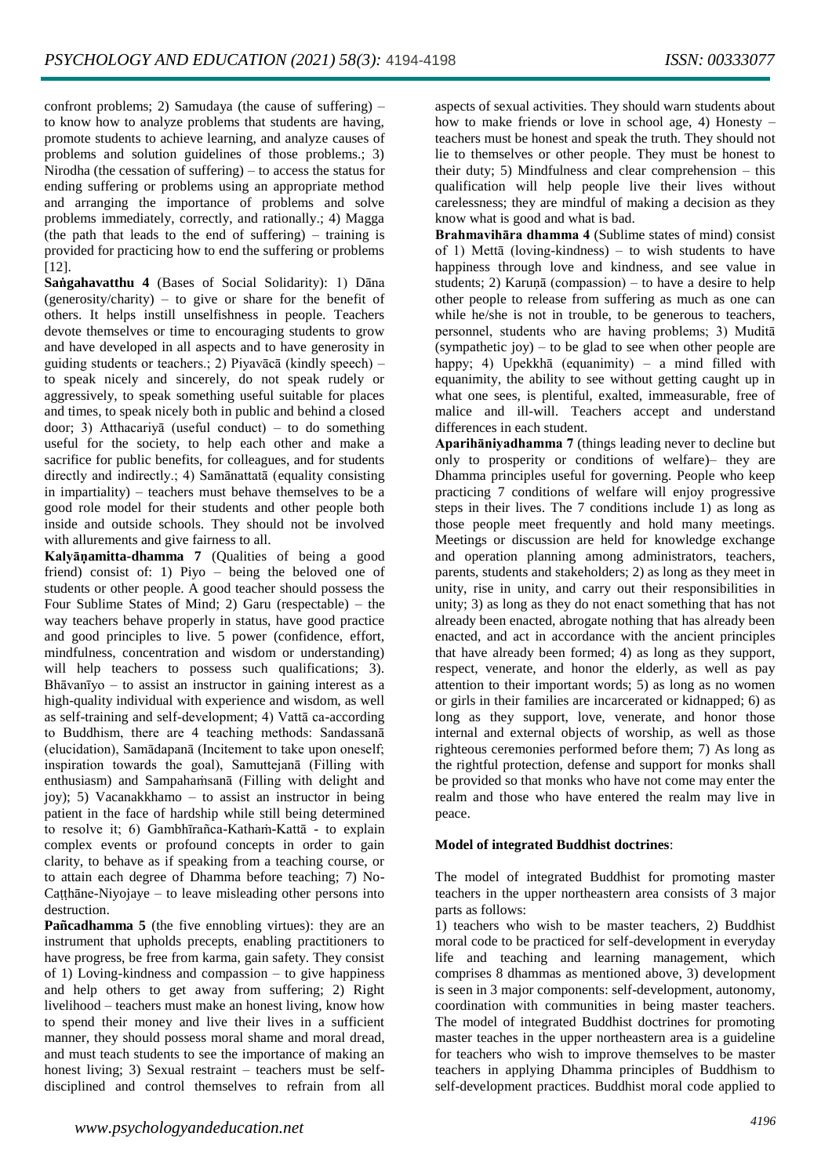confront problems; 2) Samudaya (the cause of suffering) – to know how to analyze problems that students are having, promote students to achieve learning, and analyze causes of problems and solution guidelines of those problems.; 3) Nirodha (the cessation of suffering) – to access the status for ending suffering or problems using an appropriate method and arranging the importance of problems and solve problems immediately, correctly, and rationally.; 4) Magga (the path that leads to the end of suffering) – training is provided for practicing how to end the suffering or problems [12].

**Saṅgahavatthu 4** (Bases of Social Solidarity): 1) Dāna (generosity/charity) – to give or share for the benefit of others. It helps instill unselfishness in people. Teachers devote themselves or time to encouraging students to grow and have developed in all aspects and to have generosity in guiding students or teachers.; 2) Piyavācā (kindly speech) – to speak nicely and sincerely, do not speak rudely or aggressively, to speak something useful suitable for places and times, to speak nicely both in public and behind a closed door; 3) Atthacariyā (useful conduct) – to do something useful for the society, to help each other and make a sacrifice for public benefits, for colleagues, and for students directly and indirectly.; 4) Samānattatā (equality consisting in impartiality) – teachers must behave themselves to be a good role model for their students and other people both inside and outside schools. They should not be involved with allurements and give fairness to all.

**Kalyāṇamitta-dhamma 7** (Qualities of being a good friend) consist of: 1) Piyo – being the beloved one of students or other people. A good teacher should possess the Four Sublime States of Mind; 2) Garu (respectable) – the way teachers behave properly in status, have good practice and good principles to live. 5 power (confidence, effort, mindfulness, concentration and wisdom or understanding) will help teachers to possess such qualifications; 3). Bhāvanīyo – to assist an instructor in gaining interest as a high-quality individual with experience and wisdom, as well as self-training and self-development; 4) Vattā ca-according to Buddhism, there are 4 teaching methods: Sandassanā (elucidation), Samādapanā (Incitement to take upon oneself; inspiration towards the goal), Samuttejanā (Filling with enthusiasm) and Sampahaṁsanā (Filling with delight and joy); 5) Vacanakkhamo – to assist an instructor in being patient in the face of hardship while still being determined to resolve it; 6) Gambhīrañca-Kathaṁ-Kattā - to explain complex events or profound concepts in order to gain clarity, to behave as if speaking from a teaching course, or to attain each degree of Dhamma before teaching; 7) No-Caṭṭhāne-Niyojaye – to leave misleading other persons into destruction.

**Pañcadhamma 5** (the five ennobling virtues): they are an instrument that upholds precepts, enabling practitioners to have progress, be free from karma, gain safety. They consist of 1) Loving-kindness and compassion – to give happiness and help others to get away from suffering; 2) Right livelihood – teachers must make an honest living, know how to spend their money and live their lives in a sufficient manner, they should possess moral shame and moral dread, and must teach students to see the importance of making an honest living; 3) Sexual restraint – teachers must be selfdisciplined and control themselves to refrain from all

**Brahmavihāra dhamma 4** (Sublime states of mind) consist of 1) Mettā (loving-kindness) – to wish students to have happiness through love and kindness, and see value in students; 2) Karuṇā (compassion) – to have a desire to help other people to release from suffering as much as one can while he/she is not in trouble, to be generous to teachers, personnel, students who are having problems; 3) Muditā (sympathetic joy) – to be glad to see when other people are happy; 4) Upekkhā (equanimity) – a mind filled with equanimity, the ability to see without getting caught up in what one sees, is plentiful, exalted, immeasurable, free of malice and ill-will. Teachers accept and understand differences in each student.

**Aparihāniyadhamma 7** (things leading never to decline but only to prosperity or conditions of welfare)– they are Dhamma principles useful for governing. People who keep practicing 7 conditions of welfare will enjoy progressive steps in their lives. The 7 conditions include 1) as long as those people meet frequently and hold many meetings. Meetings or discussion are held for knowledge exchange and operation planning among administrators, teachers, parents, students and stakeholders; 2) as long as they meet in unity, rise in unity, and carry out their responsibilities in unity; 3) as long as they do not enact something that has not already been enacted, abrogate nothing that has already been enacted, and act in accordance with the ancient principles that have already been formed; 4) as long as they support, respect, venerate, and honor the elderly, as well as pay attention to their important words; 5) as long as no women or girls in their families are incarcerated or kidnapped; 6) as long as they support, love, venerate, and honor those internal and external objects of worship, as well as those righteous ceremonies performed before them; 7) As long as the rightful protection, defense and support for monks shall be provided so that monks who have not come may enter the realm and those who have entered the realm may live in peace.

## **Model of integrated Buddhist doctrines**:

The model of integrated Buddhist for promoting master teachers in the upper northeastern area consists of 3 major parts as follows:

1) teachers who wish to be master teachers, 2) Buddhist moral code to be practiced for self-development in everyday life and teaching and learning management, which comprises 8 dhammas as mentioned above, 3) development is seen in 3 major components: self-development, autonomy, coordination with communities in being master teachers. The model of integrated Buddhist doctrines for promoting master teaches in the upper northeastern area is a guideline for teachers who wish to improve themselves to be master teachers in applying Dhamma principles of Buddhism to self-development practices. Buddhist moral code applied to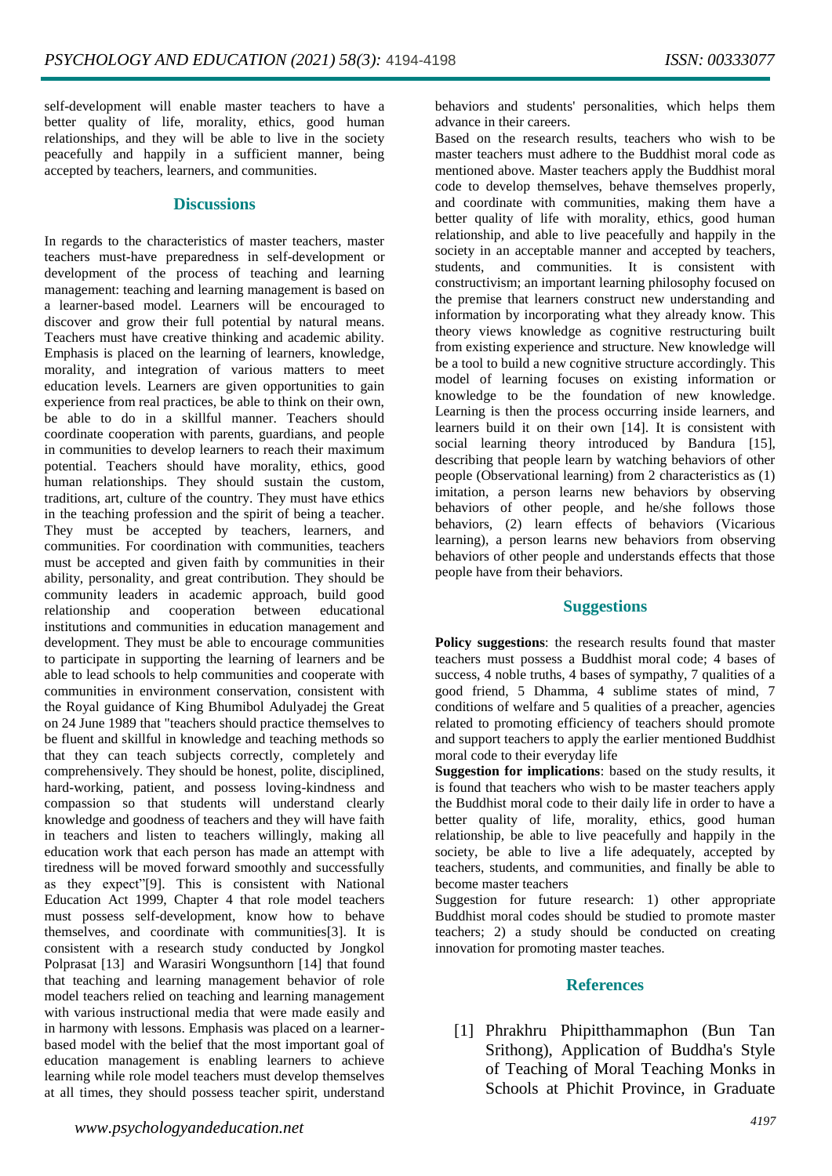self-development will enable master teachers to have a better quality of life, morality, ethics, good human relationships, and they will be able to live in the society peacefully and happily in a sufficient manner, being accepted by teachers, learners, and communities.

#### **Discussions**

In regards to the characteristics of master teachers, master teachers must-have preparedness in self-development or development of the process of teaching and learning management: teaching and learning management is based on a learner-based model. Learners will be encouraged to discover and grow their full potential by natural means. Teachers must have creative thinking and academic ability. Emphasis is placed on the learning of learners, knowledge, morality, and integration of various matters to meet education levels. Learners are given opportunities to gain experience from real practices, be able to think on their own, be able to do in a skillful manner. Teachers should coordinate cooperation with parents, guardians, and people in communities to develop learners to reach their maximum potential. Teachers should have morality, ethics, good human relationships. They should sustain the custom, traditions, art, culture of the country. They must have ethics in the teaching profession and the spirit of being a teacher. They must be accepted by teachers, learners, and communities. For coordination with communities, teachers must be accepted and given faith by communities in their ability, personality, and great contribution. They should be community leaders in academic approach, build good relationship and cooperation between educational institutions and communities in education management and development. They must be able to encourage communities to participate in supporting the learning of learners and be able to lead schools to help communities and cooperate with communities in environment conservation, consistent with the Royal guidance of King Bhumibol Adulyadej the Great on 24 June 1989 that "teachers should practice themselves to be fluent and skillful in knowledge and teaching methods so that they can teach subjects correctly, completely and comprehensively. They should be honest, polite, disciplined, hard-working, patient, and possess loving-kindness and compassion so that students will understand clearly knowledge and goodness of teachers and they will have faith in teachers and listen to teachers willingly, making all education work that each person has made an attempt with tiredness will be moved forward smoothly and successfully as they expect"[9]. This is consistent with National Education Act 1999, Chapter 4 that role model teachers must possess self-development, know how to behave themselves, and coordinate with communities[3]. It is consistent with a research study conducted by Jongkol Polprasat [13] and Warasiri Wongsunthorn [14] that found that teaching and learning management behavior of role model teachers relied on teaching and learning management with various instructional media that were made easily and in harmony with lessons. Emphasis was placed on a learnerbased model with the belief that the most important goal of education management is enabling learners to achieve learning while role model teachers must develop themselves at all times, they should possess teacher spirit, understand behaviors and students' personalities, which helps them advance in their careers.

Based on the research results, teachers who wish to be master teachers must adhere to the Buddhist moral code as mentioned above. Master teachers apply the Buddhist moral code to develop themselves, behave themselves properly, and coordinate with communities, making them have a better quality of life with morality, ethics, good human relationship, and able to live peacefully and happily in the society in an acceptable manner and accepted by teachers, students, and communities. It is consistent with constructivism; an important learning philosophy focused on the premise that learners construct new understanding and information by incorporating what they already know. This theory views knowledge as cognitive restructuring built from existing experience and structure. New knowledge will be a tool to build a new cognitive structure accordingly. This model of learning focuses on existing information or knowledge to be the foundation of new knowledge. Learning is then the process occurring inside learners, and learners build it on their own [14]. It is consistent with social learning theory introduced by Bandura [15], describing that people learn by watching behaviors of other people (Observational learning) from 2 characteristics as (1) imitation, a person learns new behaviors by observing behaviors of other people, and he/she follows those behaviors, (2) learn effects of behaviors (Vicarious learning), a person learns new behaviors from observing behaviors of other people and understands effects that those people have from their behaviors.

#### **Suggestions**

**Policy suggestions**: the research results found that master teachers must possess a Buddhist moral code; 4 bases of success, 4 noble truths, 4 bases of sympathy, 7 qualities of a good friend, 5 Dhamma, 4 sublime states of mind, 7 conditions of welfare and 5 qualities of a preacher, agencies related to promoting efficiency of teachers should promote and support teachers to apply the earlier mentioned Buddhist moral code to their everyday life

**Suggestion for implications**: based on the study results, it is found that teachers who wish to be master teachers apply the Buddhist moral code to their daily life in order to have a better quality of life, morality, ethics, good human relationship, be able to live peacefully and happily in the society, be able to live a life adequately, accepted by teachers, students, and communities, and finally be able to become master teachers

Suggestion for future research: 1) other appropriate Buddhist moral codes should be studied to promote master teachers; 2) a study should be conducted on creating innovation for promoting master teaches.

#### **References**

[1] Phrakhru Phipitthammaphon (Bun Tan Srithong), Application of Buddha's Style of Teaching of Moral Teaching Monks in Schools at Phichit Province, in Graduate